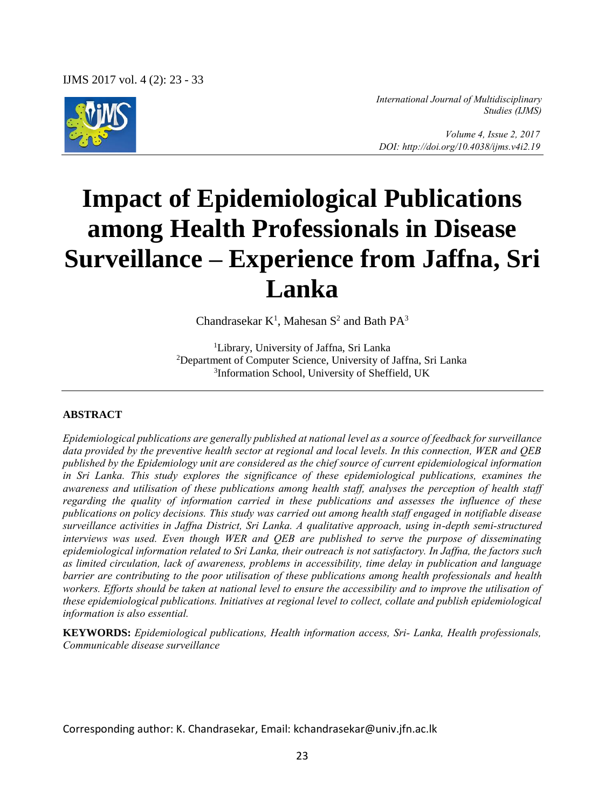

*International Journal of Multidisciplinary Studies (IJMS)* 

 *Volume 4, Issue 2, 2017 DOI: http://doi.org/10.4038/ijms.v4i2.19* 

# **Impact of Epidemiological Publications among Health Professionals in Disease Surveillance – Experience from Jaffna, Sri Lanka**

Chandrasekar  $K^1$ , Mahesan  $S^2$  and Bath  $PA^3$ 

<sup>1</sup>Library, University of Jaffna, Sri Lanka <sup>2</sup>Department of Computer Science, University of Jaffna, Sri Lanka 3 Information School, University of Sheffield, UK

#### **ABSTRACT**

*Epidemiological publications are generally published at national level as a source of feedback for surveillance data provided by the preventive health sector at regional and local levels. In this connection, WER and QEB published by the Epidemiology unit are considered as the chief source of current epidemiological information in Sri Lanka. This study explores the significance of these epidemiological publications, examines the awareness and utilisation of these publications among health staff, analyses the perception of health staff regarding the quality of information carried in these publications and assesses the influence of these publications on policy decisions. This study was carried out among health staff engaged in notifiable disease surveillance activities in Jaffna District, Sri Lanka. A qualitative approach, using in-depth semi-structured interviews was used. Even though WER and QEB are published to serve the purpose of disseminating epidemiological information related to Sri Lanka, their outreach is not satisfactory. In Jaffna, the factors such as limited circulation, lack of awareness, problems in accessibility, time delay in publication and language barrier are contributing to the poor utilisation of these publications among health professionals and health* workers. Efforts should be taken at national level to ensure the accessibility and to improve the utilisation of *these epidemiological publications. Initiatives at regional level to collect, collate and publish epidemiological information is also essential.*

**KEYWORDS:** *Epidemiological publications, Health information access, Sri- Lanka, Health professionals, Communicable disease surveillance* 

Corresponding author: K. Chandrasekar, Email: kchandrasekar@univ.jfn.ac.lk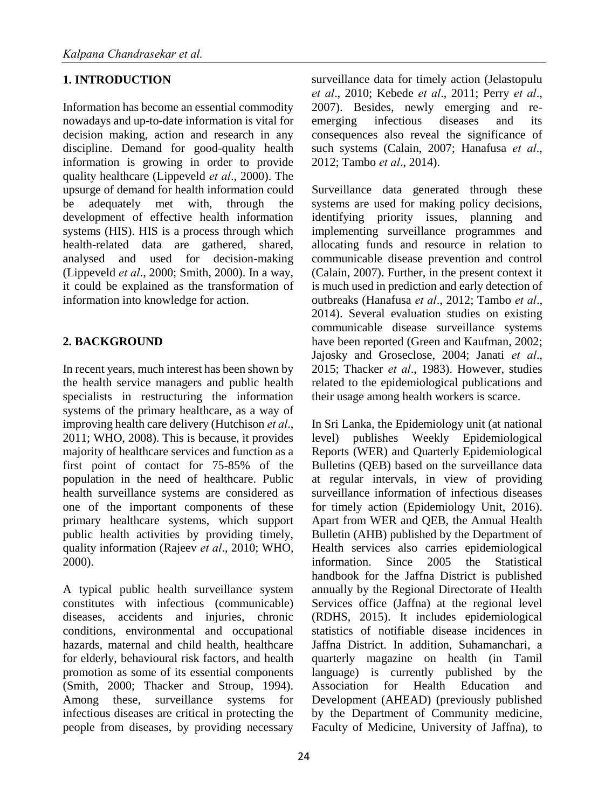## **1. INTRODUCTION**

Information has become an essential commodity nowadays and up-to-date information is vital for decision making, action and research in any discipline. Demand for good-quality health information is growing in order to provide quality healthcare (Lippeveld *et al*., 2000). The upsurge of demand for health information could be adequately met with, through the development of effective health information systems (HIS). HIS is a process through which health-related data are gathered, shared, analysed and used for decision-making (Lippeveld *et al*., 2000; Smith, 2000). In a way, it could be explained as the transformation of information into knowledge for action.

## **2. BACKGROUND**

In recent years, much interest has been shown by the health service managers and public health specialists in restructuring the information systems of the primary healthcare, as a way of improving health care delivery (Hutchison *et al*., 2011; WHO, 2008). This is because, it provides majority of healthcare services and function as a first point of contact for 75-85% of the population in the need of healthcare. Public health surveillance systems are considered as one of the important components of these primary healthcare systems, which support public health activities by providing timely, quality information (Rajeev *et al*., 2010; WHO, 2000).

A typical public health surveillance system constitutes with infectious (communicable) diseases, accidents and injuries, chronic conditions, environmental and occupational hazards, maternal and child health, healthcare for elderly, behavioural risk factors, and health promotion as some of its essential components (Smith, 2000; Thacker and Stroup, 1994). Among these, surveillance systems for infectious diseases are critical in protecting the people from diseases, by providing necessary surveillance data for timely action (Jelastopulu *et al*., 2010; Kebede *et al*., 2011; Perry *et al*., 2007). Besides, newly emerging and reemerging infectious diseases and its consequences also reveal the significance of such systems (Calain, 2007; Hanafusa *et al*., 2012; Tambo *et al*., 2014).

Surveillance data generated through these systems are used for making policy decisions, identifying priority issues, planning and implementing surveillance programmes and allocating funds and resource in relation to communicable disease prevention and control (Calain, 2007). Further, in the present context it is much used in prediction and early detection of outbreaks (Hanafusa *et al*., 2012; Tambo *et al*., 2014). Several evaluation studies on existing communicable disease surveillance systems have been reported (Green and Kaufman, 2002; Jajosky and Groseclose, 2004; Janati *et al*., 2015; Thacker *et al*., 1983). However, studies related to the epidemiological publications and their usage among health workers is scarce.

In Sri Lanka, the Epidemiology unit (at national level) publishes Weekly Epidemiological Reports (WER) and Quarterly Epidemiological Bulletins (QEB) based on the surveillance data at regular intervals, in view of providing surveillance information of infectious diseases for timely action (Epidemiology Unit, 2016). Apart from WER and QEB, the Annual Health Bulletin (AHB) published by the Department of Health services also carries epidemiological information. Since 2005 the Statistical handbook for the Jaffna District is published annually by the Regional Directorate of Health Services office (Jaffna) at the regional level (RDHS, 2015). It includes epidemiological statistics of notifiable disease incidences in Jaffna District. In addition, Suhamanchari, a quarterly magazine on health (in Tamil language) is currently published by the Association for Health Education and Development (AHEAD) (previously published by the Department of Community medicine, Faculty of Medicine, University of Jaffna), to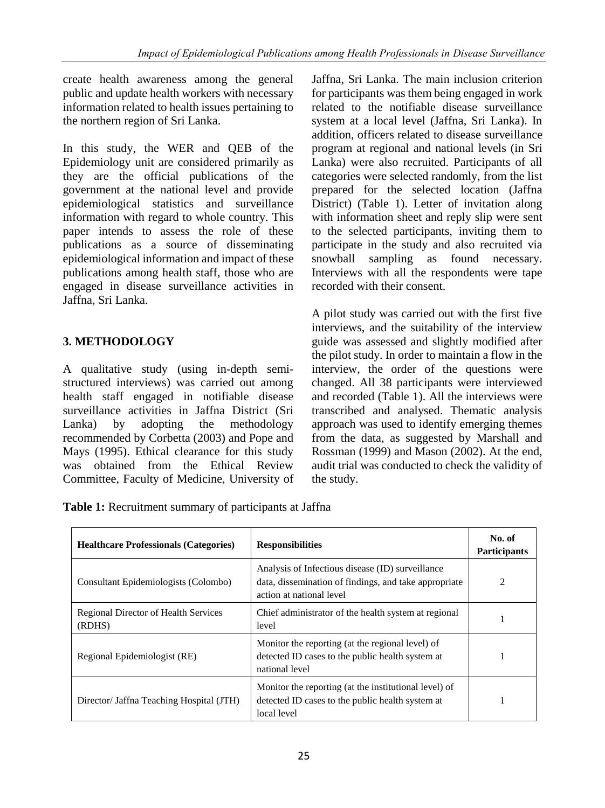create health awareness among the general public and update health workers with necessary information related to health issues pertaining to the northern region of Sri Lanka.

In this study, the WER and QEB of the Epidemiology unit are considered primarily as they are the official publications of the government at the national level and provide epidemiological statistics and surveillance information with regard to whole country. This paper intends to assess the role of these publications as a source of disseminating epidemiological information and impact of these publications among health staff, those who are engaged in disease surveillance activities in Jaffna, Sri Lanka.

## **3. METHODOLOGY**

A qualitative study (using in-depth semistructured interviews) was carried out among health staff engaged in notifiable disease surveillance activities in Jaffna District (Sri Lanka) by adopting the methodology recommended by Corbetta (2003) and Pope and Mays (1995). Ethical clearance for this study was obtained from the Ethical Review Committee, Faculty of Medicine, University of Jaffna, Sri Lanka. The main inclusion criterion for participants was them being engaged in work related to the notifiable disease surveillance system at a local level (Jaffna, Sri Lanka). In addition, officers related to disease surveillance program at regional and national levels (in Sri Lanka) were also recruited. Participants of all categories were selected randomly, from the list prepared for the selected location (Jaffna District) (Table 1). Letter of invitation along with information sheet and reply slip were sent to the selected participants, inviting them to participate in the study and also recruited via snowball sampling as found necessary. Interviews with all the respondents were tape recorded with their consent.

A pilot study was carried out with the first five interviews, and the suitability of the interview guide was assessed and slightly modified after the pilot study. In order to maintain a flow in the interview, the order of the questions were changed. All 38 participants were interviewed and recorded (Table 1). All the interviews were transcribed and analysed. Thematic analysis approach was used to identify emerging themes from the data, as suggested by Marshall and Rossman (1999) and Mason (2002). At the end, audit trial was conducted to check the validity of the study.

**Table 1:** Recruitment summary of participants at Jaffna

| <b>Healthcare Professionals (Categories)</b>   | <b>Responsibilities</b>                                                                                                               | No. of<br><b>Participants</b> |
|------------------------------------------------|---------------------------------------------------------------------------------------------------------------------------------------|-------------------------------|
| Consultant Epidemiologists (Colombo)           | Analysis of Infectious disease (ID) surveillance<br>data, dissemination of findings, and take appropriate<br>action at national level | 2                             |
| Regional Director of Health Services<br>(RDHS) | Chief administrator of the health system at regional<br>level                                                                         |                               |
| Regional Epidemiologist (RE)                   | Monitor the reporting (at the regional level) of<br>detected ID cases to the public health system at<br>national level                |                               |
| Director/ Jaffna Teaching Hospital (JTH)       | Monitor the reporting (at the institutional level) of<br>detected ID cases to the public health system at<br>local level              |                               |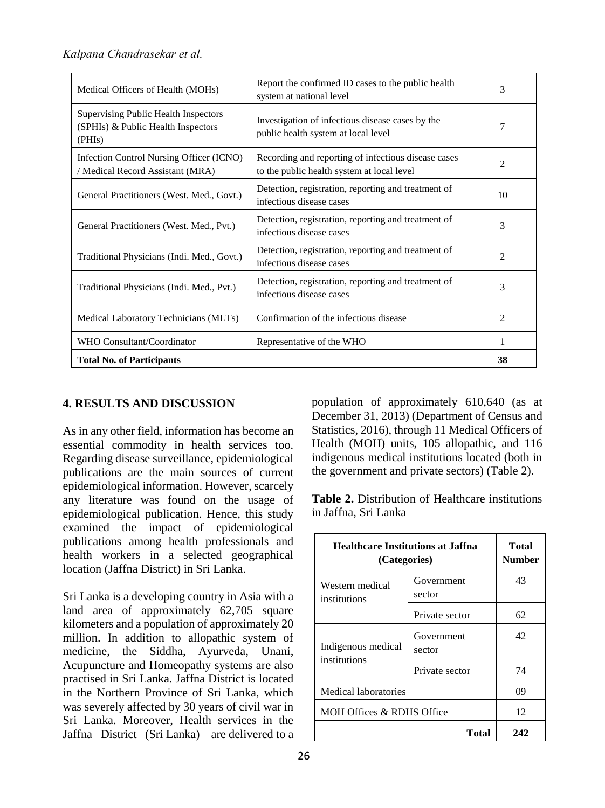| Medical Officers of Health (MOHs)                                                    | Report the confirmed ID cases to the public health<br>system at national level                    | 3              |
|--------------------------------------------------------------------------------------|---------------------------------------------------------------------------------------------------|----------------|
| Supervising Public Health Inspectors<br>(SPHIs) & Public Health Inspectors<br>(PHIs) | Investigation of infectious disease cases by the<br>public health system at local level           | 7              |
| Infection Control Nursing Officer (ICNO)<br>/ Medical Record Assistant (MRA)         | Recording and reporting of infectious disease cases<br>to the public health system at local level | $\mathfrak{D}$ |
| General Practitioners (West. Med., Govt.)                                            | Detection, registration, reporting and treatment of<br>infectious disease cases                   | 10             |
| General Practitioners (West. Med., Pvt.)                                             | Detection, registration, reporting and treatment of<br>infectious disease cases                   | 3              |
| Traditional Physicians (Indi. Med., Govt.)                                           | Detection, registration, reporting and treatment of<br>infectious disease cases                   | 2              |
| Traditional Physicians (Indi. Med., Pvt.)                                            | Detection, registration, reporting and treatment of<br>infectious disease cases                   |                |
| Medical Laboratory Technicians (MLTs)                                                | Confirmation of the infectious disease                                                            | 2              |
| WHO Consultant/Coordinator                                                           | Representative of the WHO                                                                         | 1              |
| <b>Total No. of Participants</b>                                                     |                                                                                                   |                |

#### **4. RESULTS AND DISCUSSION**

As in any other field, information has become an essential commodity in health services too. Regarding disease surveillance, epidemiological publications are the main sources of current epidemiological information. However, scarcely any literature was found on the usage of epidemiological publication. Hence, this study examined the impact of epidemiological publications among health professionals and health workers in a selected geographical location (Jaffna District) in Sri Lanka.

Sri Lanka is a developing country in Asia with a land area of approximately 62,705 square kilometers and a population of approximately 20 million. In addition to allopathic system of medicine, the Siddha, Ayurveda, Unani, Acupuncture and Homeopathy systems are also practised in Sri Lanka. Jaffna District is located in the Northern Province of Sri Lanka, which was severely affected by 30 years of civil war in Sri Lanka. Moreover, Health services in the Jaffna District (Sri Lanka) are delivered to a population of approximately 610,640 (as at December 31, 2013) (Department of Census and Statistics, 2016), through 11 Medical Officers of Health (MOH) units, 105 allopathic, and 116 indigenous medical institutions located (both in the government and private sectors) (Table 2).

**Table 2.** Distribution of Healthcare institutions in Jaffna, Sri Lanka

| <b>Healthcare Institutions at Jaffna</b><br>(Categories) |                      | Total<br>Number |
|----------------------------------------------------------|----------------------|-----------------|
| Western medical<br>institutions                          | Government<br>sector | 43              |
|                                                          | Private sector       | 62.             |
| Indigenous medical<br>institutions                       | Government<br>sector | 42              |
|                                                          | Private sector       | 74              |
| Medical laboratories                                     |                      | 09              |
| <b>MOH Offices &amp; RDHS Office</b>                     |                      | 12              |
|                                                          | Total                | 242             |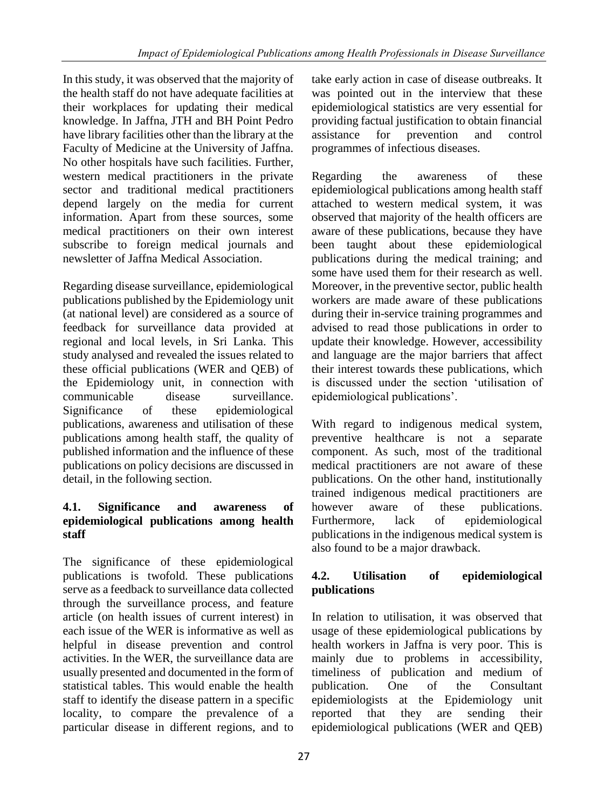In this study, it was observed that the majority of the health staff do not have adequate facilities at their workplaces for updating their medical knowledge. In Jaffna, JTH and BH Point Pedro have library facilities other than the library at the Faculty of Medicine at the University of Jaffna. No other hospitals have such facilities. Further, western medical practitioners in the private sector and traditional medical practitioners depend largely on the media for current information. Apart from these sources, some medical practitioners on their own interest subscribe to foreign medical journals and newsletter of Jaffna Medical Association.

Regarding disease surveillance, epidemiological publications published by the Epidemiology unit (at national level) are considered as a source of feedback for surveillance data provided at regional and local levels, in Sri Lanka. This study analysed and revealed the issues related to these official publications (WER and QEB) of the Epidemiology unit, in connection with communicable disease surveillance. Significance of these epidemiological publications, awareness and utilisation of these publications among health staff, the quality of published information and the influence of these publications on policy decisions are discussed in detail, in the following section.

## **4.1. Significance and awareness of epidemiological publications among health staff**

The significance of these epidemiological publications is twofold. These publications serve as a feedback to surveillance data collected through the surveillance process, and feature article (on health issues of current interest) in each issue of the WER is informative as well as helpful in disease prevention and control activities. In the WER, the surveillance data are usually presented and documented in the form of statistical tables. This would enable the health staff to identify the disease pattern in a specific locality, to compare the prevalence of a particular disease in different regions, and to

take early action in case of disease outbreaks. It was pointed out in the interview that these epidemiological statistics are very essential for providing factual justification to obtain financial assistance for prevention and control programmes of infectious diseases.

Regarding the awareness of these epidemiological publications among health staff attached to western medical system, it was observed that majority of the health officers are aware of these publications, because they have been taught about these epidemiological publications during the medical training; and some have used them for their research as well. Moreover, in the preventive sector, public health workers are made aware of these publications during their in-service training programmes and advised to read those publications in order to update their knowledge. However, accessibility and language are the major barriers that affect their interest towards these publications, which is discussed under the section 'utilisation of epidemiological publications'.

With regard to indigenous medical system, preventive healthcare is not a separate component. As such, most of the traditional medical practitioners are not aware of these publications. On the other hand, institutionally trained indigenous medical practitioners are however aware of these publications. Furthermore, lack of epidemiological publications in the indigenous medical system is also found to be a major drawback.

## **4.2. Utilisation of epidemiological publications**

In relation to utilisation, it was observed that usage of these epidemiological publications by health workers in Jaffna is very poor. This is mainly due to problems in accessibility, timeliness of publication and medium of publication. One of the Consultant epidemiologists at the Epidemiology unit reported that they are sending their epidemiological publications (WER and QEB)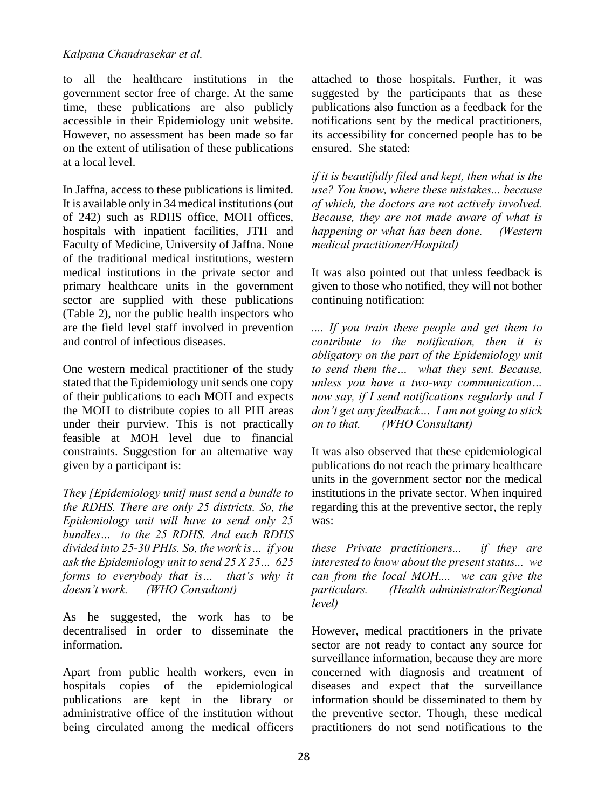to all the healthcare institutions in the government sector free of charge. At the same time, these publications are also publicly accessible in their Epidemiology unit website. However, no assessment has been made so far on the extent of utilisation of these publications at a local level.

In Jaffna, access to these publications is limited. It is available only in 34 medical institutions (out of 242) such as RDHS office, MOH offices, hospitals with inpatient facilities, JTH and Faculty of Medicine, University of Jaffna. None of the traditional medical institutions, western medical institutions in the private sector and primary healthcare units in the government sector are supplied with these publications (Table 2), nor the public health inspectors who are the field level staff involved in prevention and control of infectious diseases.

One western medical practitioner of the study stated that the Epidemiology unit sends one copy of their publications to each MOH and expects the MOH to distribute copies to all PHI areas under their purview. This is not practically feasible at MOH level due to financial constraints. Suggestion for an alternative way given by a participant is:

*They [Epidemiology unit] must send a bundle to the RDHS. There are only 25 districts. So, the Epidemiology unit will have to send only 25 bundles… to the 25 RDHS. And each RDHS divided into 25-30 PHIs. So, the work is… if you ask the Epidemiology unit to send 25 X 25… 625 forms to everybody that is… that's why it doesn't work. (WHO Consultant)*

As he suggested, the work has to be decentralised in order to disseminate the information.

Apart from public health workers, even in hospitals copies of the epidemiological publications are kept in the library or administrative office of the institution without being circulated among the medical officers

attached to those hospitals. Further, it was suggested by the participants that as these publications also function as a feedback for the notifications sent by the medical practitioners, its accessibility for concerned people has to be ensured. She stated:

*if it is beautifully filed and kept, then what is the use? You know, where these mistakes... because of which, the doctors are not actively involved. Because, they are not made aware of what is happening or what has been done. (Western medical practitioner/Hospital)* 

It was also pointed out that unless feedback is given to those who notified, they will not bother continuing notification:

*.... If you train these people and get them to contribute to the notification, then it is obligatory on the part of the Epidemiology unit to send them the… what they sent. Because, unless you have a two-way communication… now say, if I send notifications regularly and I don't get any feedback… I am not going to stick on to that. (WHO Consultant)* 

It was also observed that these epidemiological publications do not reach the primary healthcare units in the government sector nor the medical institutions in the private sector. When inquired regarding this at the preventive sector, the reply was:

*these Private practitioners... if they are interested to know about the present status... we can from the local MOH.... we can give the particulars. (Health administrator/Regional level)* 

However, medical practitioners in the private sector are not ready to contact any source for surveillance information, because they are more concerned with diagnosis and treatment of diseases and expect that the surveillance information should be disseminated to them by the preventive sector. Though, these medical practitioners do not send notifications to the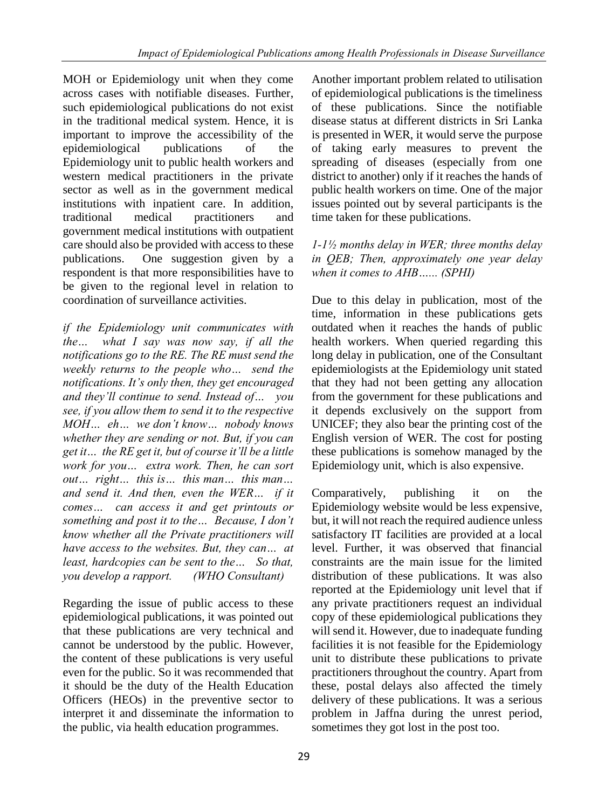MOH or Epidemiology unit when they come across cases with notifiable diseases. Further, such epidemiological publications do not exist in the traditional medical system. Hence, it is important to improve the accessibility of the epidemiological publications of the Epidemiology unit to public health workers and western medical practitioners in the private sector as well as in the government medical institutions with inpatient care. In addition, traditional medical practitioners and government medical institutions with outpatient care should also be provided with access to these publications. One suggestion given by a respondent is that more responsibilities have to be given to the regional level in relation to coordination of surveillance activities.

*if the Epidemiology unit communicates with the… what I say was now say, if all the notifications go to the RE. The RE must send the weekly returns to the people who… send the notifications. It's only then, they get encouraged and they'll continue to send. Instead of… you see, if you allow them to send it to the respective MOH… eh… we don't know… nobody knows whether they are sending or not. But, if you can get it… the RE get it, but of course it'll be a little work for you… extra work. Then, he can sort out… right… this is… this man… this man… and send it. And then, even the WER… if it comes… can access it and get printouts or something and post it to the… Because, I don't know whether all the Private practitioners will have access to the websites. But, they can… at least, hardcopies can be sent to the… So that, you develop a rapport. (WHO Consultant)* 

Regarding the issue of public access to these epidemiological publications, it was pointed out that these publications are very technical and cannot be understood by the public. However, the content of these publications is very useful even for the public. So it was recommended that it should be the duty of the Health Education Officers (HEOs) in the preventive sector to interpret it and disseminate the information to the public, via health education programmes.

Another important problem related to utilisation of epidemiological publications is the timeliness of these publications. Since the notifiable disease status at different districts in Sri Lanka is presented in WER, it would serve the purpose of taking early measures to prevent the spreading of diseases (especially from one district to another) only if it reaches the hands of public health workers on time. One of the major issues pointed out by several participants is the time taken for these publications.

*1-1½ months delay in WER; three months delay in QEB; Then, approximately one year delay when it comes to AHB…... (SPHI)*

Due to this delay in publication, most of the time, information in these publications gets outdated when it reaches the hands of public health workers. When queried regarding this long delay in publication, one of the Consultant epidemiologists at the Epidemiology unit stated that they had not been getting any allocation from the government for these publications and it depends exclusively on the support from UNICEF; they also bear the printing cost of the English version of WER. The cost for posting these publications is somehow managed by the Epidemiology unit, which is also expensive.

Comparatively, publishing it on the Epidemiology website would be less expensive, but, it will not reach the required audience unless satisfactory IT facilities are provided at a local level. Further, it was observed that financial constraints are the main issue for the limited distribution of these publications. It was also reported at the Epidemiology unit level that if any private practitioners request an individual copy of these epidemiological publications they will send it. However, due to inadequate funding facilities it is not feasible for the Epidemiology unit to distribute these publications to private practitioners throughout the country. Apart from these, postal delays also affected the timely delivery of these publications. It was a serious problem in Jaffna during the unrest period, sometimes they got lost in the post too.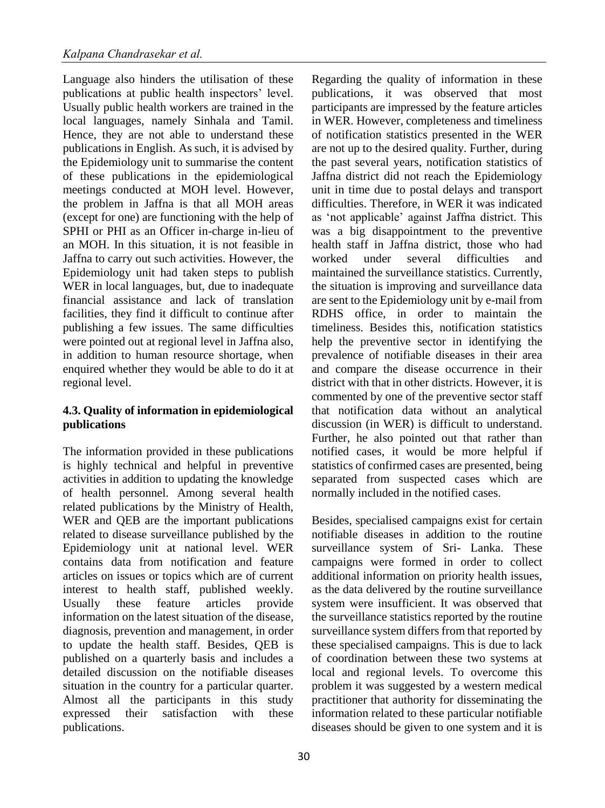Language also hinders the utilisation of these publications at public health inspectors' level. Usually public health workers are trained in the local languages, namely Sinhala and Tamil. Hence, they are not able to understand these publications in English. As such, it is advised by the Epidemiology unit to summarise the content of these publications in the epidemiological meetings conducted at MOH level. However, the problem in Jaffna is that all MOH areas (except for one) are functioning with the help of SPHI or PHI as an Officer in-charge in-lieu of an MOH. In this situation, it is not feasible in Jaffna to carry out such activities. However, the Epidemiology unit had taken steps to publish WER in local languages, but, due to inadequate financial assistance and lack of translation facilities, they find it difficult to continue after publishing a few issues. The same difficulties were pointed out at regional level in Jaffna also, in addition to human resource shortage, when enquired whether they would be able to do it at regional level.

#### **4.3. Quality of information in epidemiological publications**

The information provided in these publications is highly technical and helpful in preventive activities in addition to updating the knowledge of health personnel. Among several health related publications by the Ministry of Health, WER and QEB are the important publications related to disease surveillance published by the Epidemiology unit at national level. WER contains data from notification and feature articles on issues or topics which are of current interest to health staff, published weekly. Usually these feature articles provide information on the latest situation of the disease, diagnosis, prevention and management, in order to update the health staff. Besides, QEB is published on a quarterly basis and includes a detailed discussion on the notifiable diseases situation in the country for a particular quarter. Almost all the participants in this study expressed their satisfaction with these publications.

in WER. However, completeness and timeliness of notification statistics presented in the WER are not up to the desired quality. Further, during the past several years, notification statistics of Jaffna district did not reach the Epidemiology unit in time due to postal delays and transport difficulties. Therefore, in WER it was indicated as 'not applicable' against Jaffna district. This was a big disappointment to the preventive health staff in Jaffna district, those who had worked under several difficulties and maintained the surveillance statistics. Currently, the situation is improving and surveillance data are sent to the Epidemiology unit by e-mail from RDHS office, in order to maintain the timeliness. Besides this, notification statistics help the preventive sector in identifying the prevalence of notifiable diseases in their area and compare the disease occurrence in their district with that in other districts. However, it is commented by one of the preventive sector staff that notification data without an analytical discussion (in WER) is difficult to understand. Further, he also pointed out that rather than notified cases, it would be more helpful if statistics of confirmed cases are presented, being separated from suspected cases which are normally included in the notified cases. Besides, specialised campaigns exist for certain

Regarding the quality of information in these publications, it was observed that most participants are impressed by the feature articles

notifiable diseases in addition to the routine surveillance system of Sri- Lanka. These campaigns were formed in order to collect additional information on priority health issues, as the data delivered by the routine surveillance system were insufficient. It was observed that the surveillance statistics reported by the routine surveillance system differs from that reported by these specialised campaigns. This is due to lack of coordination between these two systems at local and regional levels. To overcome this problem it was suggested by a western medical practitioner that authority for disseminating the information related to these particular notifiable diseases should be given to one system and it is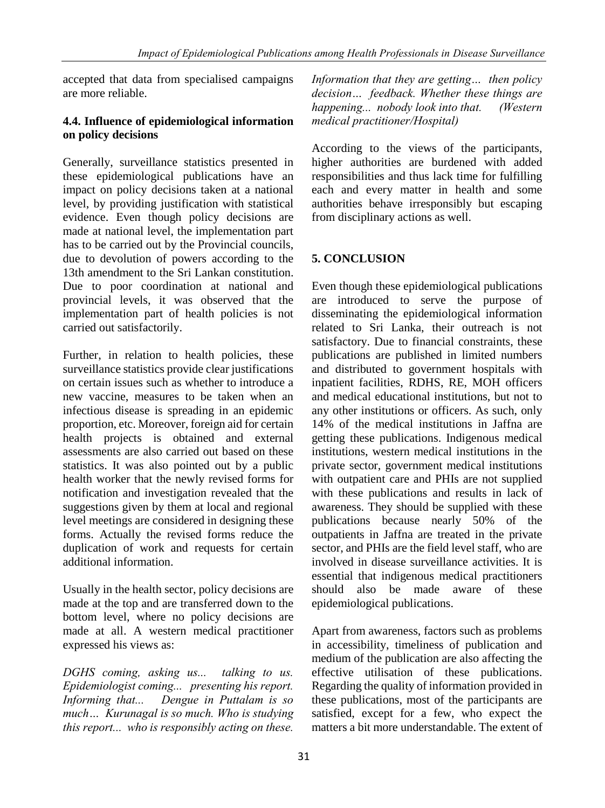accepted that data from specialised campaigns are more reliable.

#### **4.4. Influence of epidemiological information on policy decisions**

Generally, surveillance statistics presented in these epidemiological publications have an impact on policy decisions taken at a national level, by providing justification with statistical evidence. Even though policy decisions are made at national level, the implementation part has to be carried out by the Provincial councils, due to devolution of powers according to the 13th amendment to the Sri Lankan constitution. Due to poor coordination at national and provincial levels, it was observed that the implementation part of health policies is not carried out satisfactorily.

Further, in relation to health policies, these surveillance statistics provide clear justifications on certain issues such as whether to introduce a new vaccine, measures to be taken when an infectious disease is spreading in an epidemic proportion, etc. Moreover, foreign aid for certain health projects is obtained and external assessments are also carried out based on these statistics. It was also pointed out by a public health worker that the newly revised forms for notification and investigation revealed that the suggestions given by them at local and regional level meetings are considered in designing these forms. Actually the revised forms reduce the duplication of work and requests for certain additional information.

Usually in the health sector, policy decisions are made at the top and are transferred down to the bottom level, where no policy decisions are made at all. A western medical practitioner expressed his views as:

*DGHS coming, asking us... talking to us. Epidemiologist coming... presenting his report. Informing that... Dengue in Puttalam is so much… Kurunagal is so much. Who is studying this report... who is responsibly acting on these.* *Information that they are getting… then policy decision… feedback. Whether these things are happening... nobody look into that. (Western medical practitioner/Hospital)*

According to the views of the participants, higher authorities are burdened with added responsibilities and thus lack time for fulfilling each and every matter in health and some authorities behave irresponsibly but escaping from disciplinary actions as well.

## **5. CONCLUSION**

Even though these epidemiological publications are introduced to serve the purpose of disseminating the epidemiological information related to Sri Lanka, their outreach is not satisfactory. Due to financial constraints, these publications are published in limited numbers and distributed to government hospitals with inpatient facilities, RDHS, RE, MOH officers and medical educational institutions, but not to any other institutions or officers. As such, only 14% of the medical institutions in Jaffna are getting these publications. Indigenous medical institutions, western medical institutions in the private sector, government medical institutions with outpatient care and PHIs are not supplied with these publications and results in lack of awareness. They should be supplied with these publications because nearly 50% of the outpatients in Jaffna are treated in the private sector, and PHIs are the field level staff, who are involved in disease surveillance activities. It is essential that indigenous medical practitioners should also be made aware of these epidemiological publications.

Apart from awareness, factors such as problems in accessibility, timeliness of publication and medium of the publication are also affecting the effective utilisation of these publications. Regarding the quality of information provided in these publications, most of the participants are satisfied, except for a few, who expect the matters a bit more understandable. The extent of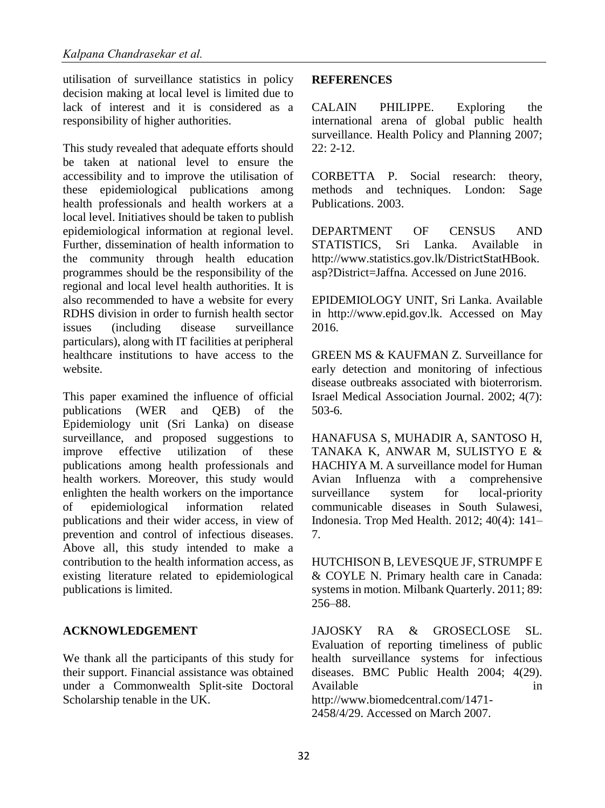utilisation of surveillance statistics in policy decision making at local level is limited due to lack of interest and it is considered as a responsibility of higher authorities.

This study revealed that adequate efforts should be taken at national level to ensure the accessibility and to improve the utilisation of these epidemiological publications among health professionals and health workers at a local level. Initiatives should be taken to publish epidemiological information at regional level. Further, dissemination of health information to the community through health education programmes should be the responsibility of the regional and local level health authorities. It is also recommended to have a website for every RDHS division in order to furnish health sector issues (including disease surveillance particulars), along with IT facilities at peripheral healthcare institutions to have access to the website.

This paper examined the influence of official publications (WER and QEB) of the Epidemiology unit (Sri Lanka) on disease surveillance, and proposed suggestions to improve effective utilization of these publications among health professionals and health workers. Moreover, this study would enlighten the health workers on the importance of epidemiological information related publications and their wider access, in view of prevention and control of infectious diseases. Above all, this study intended to make a contribution to the health information access, as existing literature related to epidemiological publications is limited.

#### **ACKNOWLEDGEMENT**

We thank all the participants of this study for their support. Financial assistance was obtained under a Commonwealth Split-site Doctoral Scholarship tenable in the UK.

#### **REFERENCES**

CALAIN PHILIPPE. Exploring the international arena of global public health surveillance. Health Policy and Planning 2007;  $22: 2-12.$ 

CORBETTA P. Social research: theory, methods and techniques. London: Sage Publications. 2003.

DEPARTMENT OF CENSUS AND STATISTICS, Sri Lanka. Available in http://www.statistics.gov.lk/DistrictStatHBook. asp?District=Jaffna. Accessed on June 2016.

EPIDEMIOLOGY UNIT, Sri Lanka. Available in http://www.epid.gov.lk. Accessed on May 2016.

GREEN MS & KAUFMAN Z. Surveillance for early detection and monitoring of infectious disease outbreaks associated with bioterrorism. Israel Medical Association Journal. 2002; 4(7): 503-6.

HANAFUSA S, MUHADIR A, SANTOSO H, TANAKA K, ANWAR M, SULISTYO E & HACHIYA M. A surveillance model for Human Avian Influenza with a comprehensive surveillance system for local-priority communicable diseases in South Sulawesi, Indonesia. Trop Med Health. 2012; 40(4): 141– 7.

HUTCHISON B, LEVESQUE JF, STRUMPF E & COYLE N. Primary health care in Canada: systems in motion. Milbank Quarterly. 2011; 89: 256–88.

JAJOSKY RA & GROSECLOSE SL. Evaluation of reporting timeliness of public health surveillance systems for infectious diseases. BMC Public Health 2004; 4(29). Available in the set of the set of the set of the set of the set of the set of the set of the set of the set of the set of the set of the set of the set of the set of the set of the set of the set of the set of the set of http://www.biomedcentral.com/1471-

2458/4/29. Accessed on March 2007.